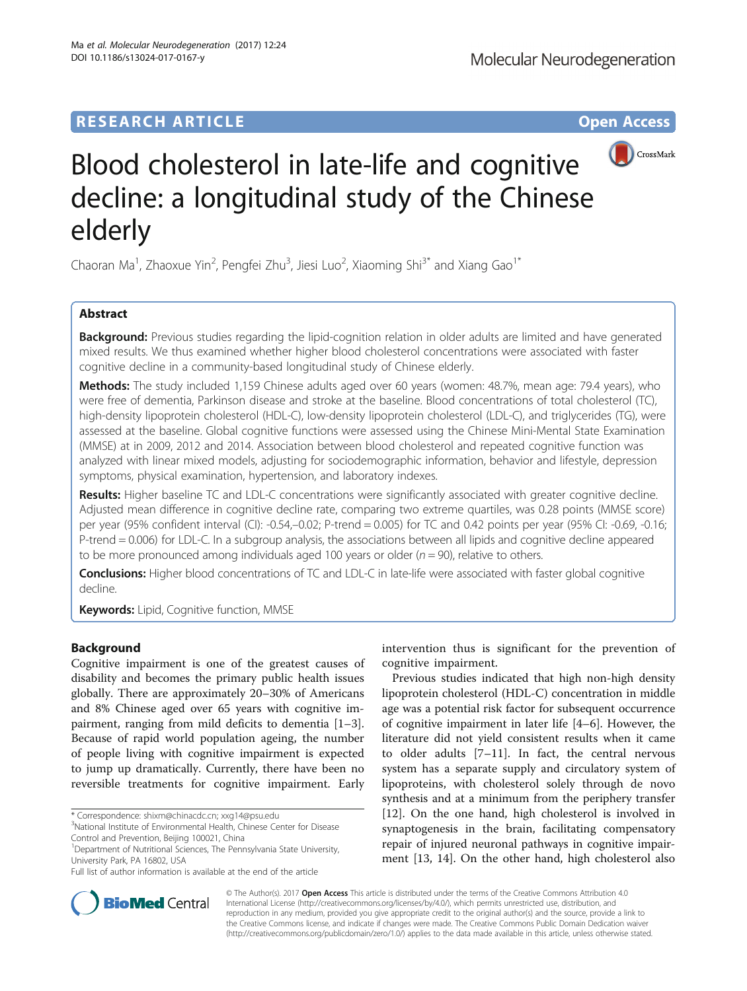# **RESEARCH ARTICLE Example 2018 12:00 THE Open Access**



# Blood cholesterol in late-life and cognitive decline: a longitudinal study of the Chinese elderly

Chaoran Ma<sup>1</sup>, Zhaoxue Yin<sup>2</sup>, Pengfei Zhu<sup>3</sup>, Jiesi Luo<sup>2</sup>, Xiaoming Shi<sup>3\*</sup> and Xiang Gao<sup>1\*</sup>

# Abstract

Background: Previous studies regarding the lipid-cognition relation in older adults are limited and have generated mixed results. We thus examined whether higher blood cholesterol concentrations were associated with faster cognitive decline in a community-based longitudinal study of Chinese elderly.

Methods: The study included 1,159 Chinese adults aged over 60 years (women: 48.7%, mean age: 79.4 years), who were free of dementia, Parkinson disease and stroke at the baseline. Blood concentrations of total cholesterol (TC), high-density lipoprotein cholesterol (HDL-C), low-density lipoprotein cholesterol (LDL-C), and triglycerides (TG), were assessed at the baseline. Global cognitive functions were assessed using the Chinese Mini-Mental State Examination (MMSE) at in 2009, 2012 and 2014. Association between blood cholesterol and repeated cognitive function was analyzed with linear mixed models, adjusting for sociodemographic information, behavior and lifestyle, depression symptoms, physical examination, hypertension, and laboratory indexes.

Results: Higher baseline TC and LDL-C concentrations were significantly associated with greater cognitive decline. Adjusted mean difference in cognitive decline rate, comparing two extreme quartiles, was 0.28 points (MMSE score) per year (95% confident interval (CI): -0.54,–0.02; P-trend = 0.005) for TC and 0.42 points per year (95% CI: -0.69, -0.16; P-trend = 0.006) for LDL-C. In a subgroup analysis, the associations between all lipids and cognitive decline appeared to be more pronounced among individuals aged 100 years or older ( $n = 90$ ), relative to others.

Conclusions: Higher blood concentrations of TC and LDL-C in late-life were associated with faster global cognitive decline.

**Keywords:** Lipid, Cognitive function, MMSE

# Background

Cognitive impairment is one of the greatest causes of disability and becomes the primary public health issues globally. There are approximately 20–30% of Americans and 8% Chinese aged over 65 years with cognitive impairment, ranging from mild deficits to dementia [\[1](#page-7-0)–[3](#page-7-0)]. Because of rapid world population ageing, the number of people living with cognitive impairment is expected to jump up dramatically. Currently, there have been no reversible treatments for cognitive impairment. Early

\* Correspondence: [shixm@chinacdc.cn;](mailto:shixm@chinacdc.cn) [xxg14@psu.edu](mailto:xxg14@psu.edu) <sup>3</sup>

<sup>1</sup>Department of Nutritional Sciences, The Pennsylvania State University, University Park, PA 16802, USA

intervention thus is significant for the prevention of cognitive impairment.

Previous studies indicated that high non-high density lipoprotein cholesterol (HDL-C) concentration in middle age was a potential risk factor for subsequent occurrence of cognitive impairment in later life [[4](#page-7-0)–[6](#page-7-0)]. However, the literature did not yield consistent results when it came to older adults [\[7](#page-7-0)–[11\]](#page-7-0). In fact, the central nervous system has a separate supply and circulatory system of lipoproteins, with cholesterol solely through de novo synthesis and at a minimum from the periphery transfer [[12\]](#page-7-0). On the one hand, high cholesterol is involved in synaptogenesis in the brain, facilitating compensatory repair of injured neuronal pathways in cognitive impairment [[13, 14](#page-7-0)]. On the other hand, high cholesterol also



© The Author(s). 2017 **Open Access** This article is distributed under the terms of the Creative Commons Attribution 4.0 International License [\(http://creativecommons.org/licenses/by/4.0/](http://creativecommons.org/licenses/by/4.0/)), which permits unrestricted use, distribution, and reproduction in any medium, provided you give appropriate credit to the original author(s) and the source, provide a link to the Creative Commons license, and indicate if changes were made. The Creative Commons Public Domain Dedication waiver [\(http://creativecommons.org/publicdomain/zero/1.0/](http://creativecommons.org/publicdomain/zero/1.0/)) applies to the data made available in this article, unless otherwise stated.

<sup>&</sup>lt;sup>3</sup>National Institute of Environmental Health, Chinese Center for Disease Control and Prevention, Beijing 100021, China

Full list of author information is available at the end of the article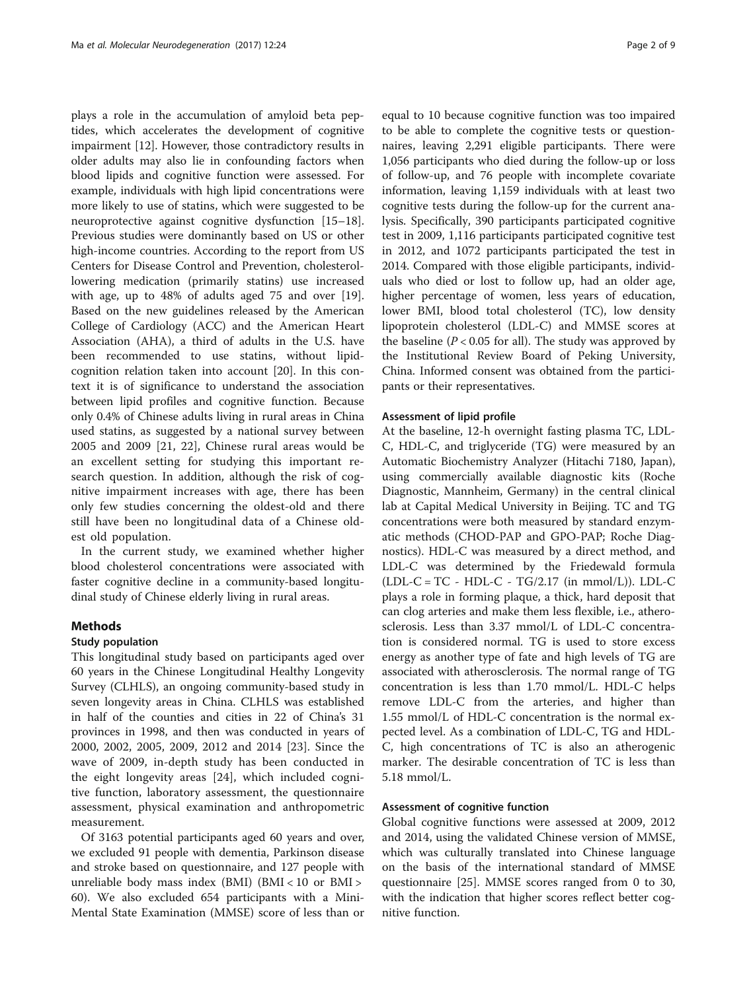plays a role in the accumulation of amyloid beta peptides, which accelerates the development of cognitive impairment [[12](#page-7-0)]. However, those contradictory results in older adults may also lie in confounding factors when blood lipids and cognitive function were assessed. For example, individuals with high lipid concentrations were more likely to use of statins, which were suggested to be neuroprotective against cognitive dysfunction [[15](#page-7-0)–[18](#page-7-0)]. Previous studies were dominantly based on US or other high-income countries. According to the report from US Centers for Disease Control and Prevention, cholesterollowering medication (primarily statins) use increased with age, up to 48% of adults aged 75 and over [\[19](#page-7-0)]. Based on the new guidelines released by the American College of Cardiology (ACC) and the American Heart Association (AHA), a third of adults in the U.S. have been recommended to use statins, without lipidcognition relation taken into account [[20\]](#page-7-0). In this context it is of significance to understand the association between lipid profiles and cognitive function. Because only 0.4% of Chinese adults living in rural areas in China used statins, as suggested by a national survey between 2005 and 2009 [[21, 22](#page-7-0)], Chinese rural areas would be an excellent setting for studying this important research question. In addition, although the risk of cognitive impairment increases with age, there has been only few studies concerning the oldest-old and there still have been no longitudinal data of a Chinese oldest old population.

In the current study, we examined whether higher blood cholesterol concentrations were associated with faster cognitive decline in a community-based longitudinal study of Chinese elderly living in rural areas.

# Methods

# Study population

This longitudinal study based on participants aged over 60 years in the Chinese Longitudinal Healthy Longevity Survey (CLHLS), an ongoing community-based study in seven longevity areas in China. CLHLS was established in half of the counties and cities in 22 of China's 31 provinces in 1998, and then was conducted in years of 2000, 2002, 2005, 2009, 2012 and 2014 [[23\]](#page-7-0). Since the wave of 2009, in-depth study has been conducted in the eight longevity areas [[24](#page-7-0)], which included cognitive function, laboratory assessment, the questionnaire assessment, physical examination and anthropometric measurement.

Of 3163 potential participants aged 60 years and over, we excluded 91 people with dementia, Parkinson disease and stroke based on questionnaire, and 127 people with unreliable body mass index (BMI) (BMI < 10 or BMI > 60). We also excluded 654 participants with a Mini-Mental State Examination (MMSE) score of less than or

equal to 10 because cognitive function was too impaired to be able to complete the cognitive tests or questionnaires, leaving 2,291 eligible participants. There were 1,056 participants who died during the follow-up or loss of follow-up, and 76 people with incomplete covariate information, leaving 1,159 individuals with at least two cognitive tests during the follow-up for the current analysis. Specifically, 390 participants participated cognitive test in 2009, 1,116 participants participated cognitive test in 2012, and 1072 participants participated the test in 2014. Compared with those eligible participants, individuals who died or lost to follow up, had an older age, higher percentage of women, less years of education, lower BMI, blood total cholesterol (TC), low density lipoprotein cholesterol (LDL-C) and MMSE scores at the baseline ( $P < 0.05$  for all). The study was approved by the Institutional Review Board of Peking University, China. Informed consent was obtained from the participants or their representatives.

## Assessment of lipid profile

At the baseline, 12-h overnight fasting plasma TC, LDL-C, HDL-C, and triglyceride (TG) were measured by an Automatic Biochemistry Analyzer (Hitachi 7180, Japan), using commercially available diagnostic kits (Roche Diagnostic, Mannheim, Germany) in the central clinical lab at Capital Medical University in Beijing. TC and TG concentrations were both measured by standard enzymatic methods (CHOD-PAP and GPO-PAP; Roche Diagnostics). HDL-C was measured by a direct method, and LDL-C was determined by the Friedewald formula  $(LDL-C = TC - HDL-C - TG/2.17$  (in mmol/L)).  $LDL-C$ plays a role in forming plaque, a thick, hard deposit that can clog arteries and make them less flexible, i.e., atherosclerosis. Less than 3.37 mmol/L of LDL-C concentration is considered normal. TG is used to store excess energy as another type of fate and high levels of TG are associated with atherosclerosis. The normal range of TG concentration is less than 1.70 mmol/L. HDL-C helps remove LDL-C from the arteries, and higher than 1.55 mmol/L of HDL-C concentration is the normal expected level. As a combination of LDL-C, TG and HDL-C, high concentrations of TC is also an atherogenic marker. The desirable concentration of TC is less than 5.18 mmol/L.

# Assessment of cognitive function

Global cognitive functions were assessed at 2009, 2012 and 2014, using the validated Chinese version of MMSE, which was culturally translated into Chinese language on the basis of the international standard of MMSE questionnaire [\[25](#page-7-0)]. MMSE scores ranged from 0 to 30, with the indication that higher scores reflect better cognitive function.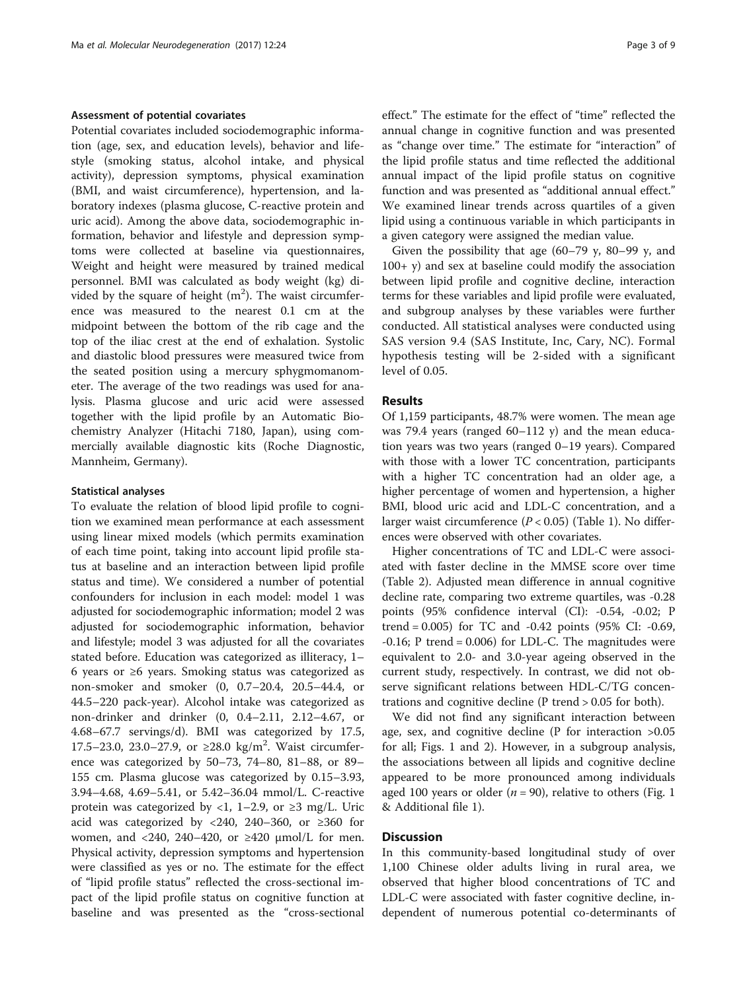# Assessment of potential covariates

Potential covariates included sociodemographic information (age, sex, and education levels), behavior and lifestyle (smoking status, alcohol intake, and physical activity), depression symptoms, physical examination (BMI, and waist circumference), hypertension, and laboratory indexes (plasma glucose, C-reactive protein and uric acid). Among the above data, sociodemographic information, behavior and lifestyle and depression symptoms were collected at baseline via questionnaires, Weight and height were measured by trained medical personnel. BMI was calculated as body weight (kg) divided by the square of height  $(m^2)$ . The waist circumference was measured to the nearest 0.1 cm at the midpoint between the bottom of the rib cage and the top of the iliac crest at the end of exhalation. Systolic and diastolic blood pressures were measured twice from the seated position using a mercury sphygmomanometer. The average of the two readings was used for analysis. Plasma glucose and uric acid were assessed together with the lipid profile by an Automatic Biochemistry Analyzer (Hitachi 7180, Japan), using commercially available diagnostic kits (Roche Diagnostic, Mannheim, Germany).

#### Statistical analyses

To evaluate the relation of blood lipid profile to cognition we examined mean performance at each assessment using linear mixed models (which permits examination of each time point, taking into account lipid profile status at baseline and an interaction between lipid profile status and time). We considered a number of potential confounders for inclusion in each model: model 1 was adjusted for sociodemographic information; model 2 was adjusted for sociodemographic information, behavior and lifestyle; model 3 was adjusted for all the covariates stated before. Education was categorized as illiteracy, 1– 6 years or ≥6 years. Smoking status was categorized as non-smoker and smoker (0, 0.7–20.4, 20.5–44.4, or 44.5–220 pack-year). Alcohol intake was categorized as non-drinker and drinker (0, 0.4–2.11, 2.12–4.67, or 4.68–67.7 servings/d). BMI was categorized by 17.5, 17.5–23.0, 23.0–27.9, or ≥28.0 kg/m<sup>2</sup>. Waist circumference was categorized by 50–73, 74–80, 81–88, or 89– 155 cm. Plasma glucose was categorized by 0.15–3.93, 3.94–4.68, 4.69–5.41, or 5.42–36.04 mmol/L. C-reactive protein was categorized by <1, 1–2.9, or  $\geq$ 3 mg/L. Uric acid was categorized by <240, 240–360, or  $\geq 360$  for women, and <240, 240–420, or  $\geq$ 420  $\mu$ mol/L for men. Physical activity, depression symptoms and hypertension were classified as yes or no. The estimate for the effect of "lipid profile status" reflected the cross-sectional impact of the lipid profile status on cognitive function at baseline and was presented as the "cross-sectional

effect." The estimate for the effect of "time" reflected the annual change in cognitive function and was presented as "change over time." The estimate for "interaction" of the lipid profile status and time reflected the additional annual impact of the lipid profile status on cognitive function and was presented as "additional annual effect." We examined linear trends across quartiles of a given lipid using a continuous variable in which participants in a given category were assigned the median value.

Given the possibility that age (60–79 y, 80–99 y, and  $100+$  y) and sex at baseline could modify the association between lipid profile and cognitive decline, interaction terms for these variables and lipid profile were evaluated, and subgroup analyses by these variables were further conducted. All statistical analyses were conducted using SAS version 9.4 (SAS Institute, Inc, Cary, NC). Formal hypothesis testing will be 2-sided with a significant level of 0.05.

# Results

Of 1,159 participants, 48.7% were women. The mean age was 79.4 years (ranged 60–112 y) and the mean education years was two years (ranged 0–19 years). Compared with those with a lower TC concentration, participants with a higher TC concentration had an older age, a higher percentage of women and hypertension, a higher BMI, blood uric acid and LDL-C concentration, and a larger waist circumference  $(P < 0.05)$  (Table [1\)](#page-3-0). No differences were observed with other covariates.

Higher concentrations of TC and LDL-C were associated with faster decline in the MMSE score over time (Table [2\)](#page-4-0). Adjusted mean difference in annual cognitive decline rate, comparing two extreme quartiles, was -0.28 points (95% confidence interval (CI): -0.54, -0.02; P trend =  $0.005$ ) for TC and  $-0.42$  points (95% CI:  $-0.69$ ,  $-0.16$ ; P trend  $= 0.006$ ) for LDL-C. The magnitudes were equivalent to 2.0- and 3.0-year ageing observed in the current study, respectively. In contrast, we did not observe significant relations between HDL-C/TG concentrations and cognitive decline (P trend > 0.05 for both).

We did not find any significant interaction between age, sex, and cognitive decline (P for interaction >0.05 for all; Figs. [1](#page-6-0) and [2](#page-6-0)). However, in a subgroup analysis, the associations between all lipids and cognitive decline appeared to be more pronounced among individuals aged [1](#page-6-0)00 years or older ( $n = 90$ ), relative to others (Fig. 1 & Additional file [1](#page-7-0)).

## **Discussion**

In this community-based longitudinal study of over 1,100 Chinese older adults living in rural area, we observed that higher blood concentrations of TC and LDL-C were associated with faster cognitive decline, independent of numerous potential co-determinants of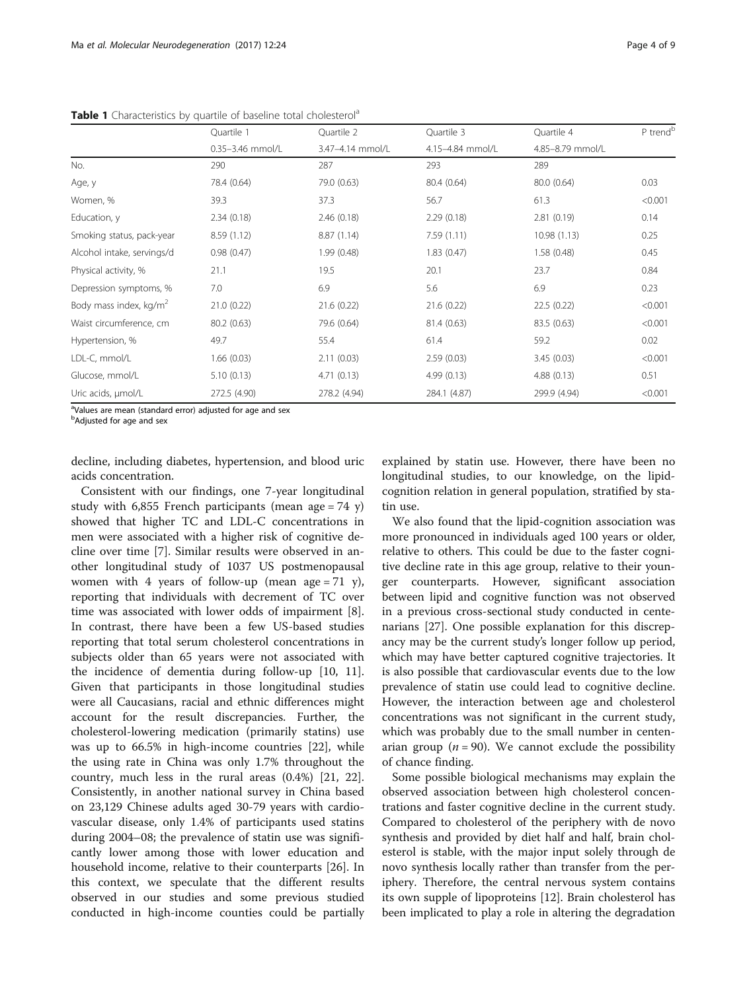|                                    | Quartile 1           | Ouartile 2       | Quartile 3       | Quartile 4       | P trend <sup>b</sup> |
|------------------------------------|----------------------|------------------|------------------|------------------|----------------------|
|                                    | $0.35 - 3.46$ mmol/L | 3.47-4.14 mmol/L | 4.15-4.84 mmol/L | 4.85-8.79 mmol/L |                      |
| No.                                | 290                  | 287              | 293              | 289              |                      |
| Age, y                             | 78.4 (0.64)          | 79.0 (0.63)      | 80.4 (0.64)      | 80.0 (0.64)      | 0.03                 |
| Women, %                           | 39.3                 | 37.3             | 56.7             | 61.3             | < 0.001              |
| Education, y                       | 2.34(0.18)           | 2.46(0.18)       | 2.29(0.18)       | 2.81(0.19)       | 0.14                 |
| Smoking status, pack-year          | 8.59 (1.12)          | 8.87(1.14)       | 7.59(1.11)       | 10.98 (1.13)     | 0.25                 |
| Alcohol intake, servings/d         | 0.98(0.47)           | 1.99(0.48)       | 1.83(0.47)       | 1.58(0.48)       | 0.45                 |
| Physical activity, %               | 21.1                 | 19.5             | 20.1             | 23.7             | 0.84                 |
| Depression symptoms, %             | 7.0                  | 6.9              | 5.6              | 6.9              | 0.23                 |
| Body mass index, kg/m <sup>2</sup> | 21.0(0.22)           | 21.6(0.22)       | 21.6(0.22)       | 22.5 (0.22)      | < 0.001              |
| Waist circumference, cm            | 80.2(0.63)           | 79.6 (0.64)      | 81.4 (0.63)      | 83.5 (0.63)      | < 0.001              |
| Hypertension, %                    | 49.7                 | 55.4             | 61.4             | 59.2             | 0.02                 |
| LDL-C, mmol/L                      | 1.66(0.03)           | 2.11(0.03)       | 2.59(0.03)       | 3.45(0.03)       | < 0.001              |
| Glucose, mmol/L                    | 5.10(0.13)           | 4.71(0.13)       | 4.99 (0.13)      | 4.88(0.13)       | 0.51                 |
| Uric acids, µmol/L                 | 272.5 (4.90)         | 278.2 (4.94)     | 284.1 (4.87)     | 299.9 (4.94)     | < 0.001              |

<span id="page-3-0"></span>Table 1 Characteristics by quartile of baseline total cholesterol<sup>a</sup>

<sup>a</sup>Values are mean (standard error) adjusted for age and sex

<sup>b</sup>Adjusted for age and sex

decline, including diabetes, hypertension, and blood uric acids concentration.

Consistent with our findings, one 7-year longitudinal study with 6,855 French participants (mean age = 74 y) showed that higher TC and LDL-C concentrations in men were associated with a higher risk of cognitive decline over time [[7\]](#page-7-0). Similar results were observed in another longitudinal study of 1037 US postmenopausal women with 4 years of follow-up (mean age = 71 y), reporting that individuals with decrement of TC over time was associated with lower odds of impairment [\[8](#page-7-0)]. In contrast, there have been a few US-based studies reporting that total serum cholesterol concentrations in subjects older than 65 years were not associated with the incidence of dementia during follow-up [[10, 11](#page-7-0)]. Given that participants in those longitudinal studies were all Caucasians, racial and ethnic differences might account for the result discrepancies. Further, the cholesterol-lowering medication (primarily statins) use was up to 66.5% in high-income countries [[22\]](#page-7-0), while the using rate in China was only 1.7% throughout the country, much less in the rural areas (0.4%) [\[21](#page-7-0), [22](#page-7-0)]. Consistently, in another national survey in China based on 23,129 Chinese adults aged 30-79 years with cardiovascular disease, only 1.4% of participants used statins during 2004–08; the prevalence of statin use was significantly lower among those with lower education and household income, relative to their counterparts [\[26](#page-8-0)]. In this context, we speculate that the different results observed in our studies and some previous studied conducted in high-income counties could be partially

explained by statin use. However, there have been no longitudinal studies, to our knowledge, on the lipidcognition relation in general population, stratified by statin use.

We also found that the lipid-cognition association was more pronounced in individuals aged 100 years or older, relative to others. This could be due to the faster cognitive decline rate in this age group, relative to their younger counterparts. However, significant association between lipid and cognitive function was not observed in a previous cross-sectional study conducted in centenarians [[27\]](#page-8-0). One possible explanation for this discrepancy may be the current study's longer follow up period, which may have better captured cognitive trajectories. It is also possible that cardiovascular events due to the low prevalence of statin use could lead to cognitive decline. However, the interaction between age and cholesterol concentrations was not significant in the current study, which was probably due to the small number in centenarian group ( $n = 90$ ). We cannot exclude the possibility of chance finding.

Some possible biological mechanisms may explain the observed association between high cholesterol concentrations and faster cognitive decline in the current study. Compared to cholesterol of the periphery with de novo synthesis and provided by diet half and half, brain cholesterol is stable, with the major input solely through de novo synthesis locally rather than transfer from the periphery. Therefore, the central nervous system contains its own supple of lipoproteins [[12\]](#page-7-0). Brain cholesterol has been implicated to play a role in altering the degradation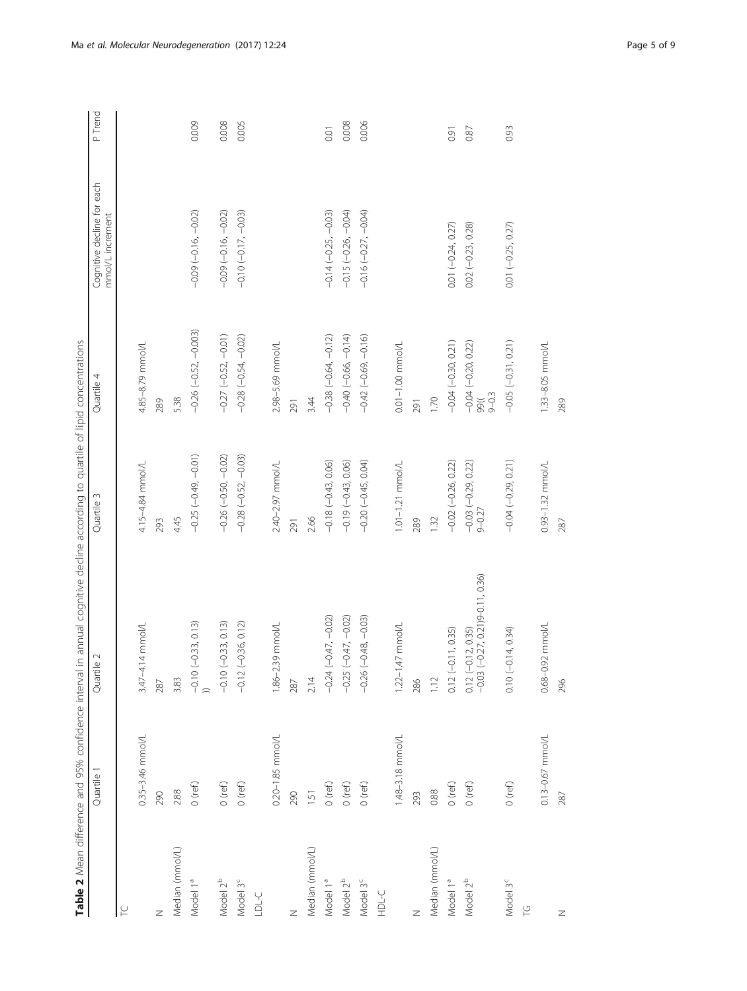<span id="page-4-0"></span>

|                                       | Table 2 Mean difference and 95% confidence interval | in annual cognitive decline according to quartile of lipid concentrations |                                 |                                            |                                                |         |
|---------------------------------------|-----------------------------------------------------|---------------------------------------------------------------------------|---------------------------------|--------------------------------------------|------------------------------------------------|---------|
|                                       | Quartile 1                                          | Quartile 2                                                                | Quartile 3                      | Quartile 4                                 | Cognitive decline for each<br>mmol/L increment | P Trend |
| $\overline{\underline{\smash{\cup}}}$ |                                                     |                                                                           |                                 |                                            |                                                |         |
|                                       | 0.35-3.46 mmol/L                                    | $3.47 - 4.14$ mmol/L                                                      | 4.15-4.84 mmol/L                | 4.85-8.79 mmol/L                           |                                                |         |
| Z                                     | 290                                                 | 287                                                                       | 293                             | 289                                        |                                                |         |
| Median (mmol/L)                       | 2.88                                                | 3.83                                                                      | 4.45                            | 5.38                                       |                                                |         |
| Model 1ª                              | $0$ (ref.)                                          | $(-0.33, 0.13)$<br>$-0.10$ (                                              | $-0.25(-0.49, -0.01)$           | $-0.26(-0.52, -0.003)$                     | $-0.09(-0.16, -0.02)$                          | 0.009   |
| Model 2 <sup>b</sup>                  | $0$ (ref.)                                          | $-0.10(-0.33, 0.13)$                                                      | $-0.26(-0.50, -0.02)$           | $-0.27(-0.52, -0.01)$                      | $-0.09(-0.16, -0.02)$                          | 0.008   |
| Model 3 <sup>c</sup>                  | $O$ (ref.)                                          | $(-0.36, 0.12)$<br>$-0.12$                                                | $-0.28$ $(-0.52, -0.03)$        | $-0.28(-0.54, -0.02)$                      | $-0.10(-0.17, -0.03)$                          | 0.005   |
| <b>LDL-C</b>                          |                                                     |                                                                           |                                 |                                            |                                                |         |
|                                       | 0.20-1.85 mmol/L                                    | 1.86-2.39 mmol/L                                                          | 2.40-2.97 mmol/L                | 2.98-5.69 mmol/L                           |                                                |         |
| Z                                     | 290                                                 | 287                                                                       | 291                             | 291                                        |                                                |         |
| Median (mmol/L)                       | 1.51                                                | 2.14                                                                      | 2.66                            | 3.44                                       |                                                |         |
| Model 1ª                              | $O$ (ref.)                                          | $(-0.47, -0.02)$<br>$-0.24$                                               | $-0.18(-0.43, 0.06)$            | $-0.38(-0.64, -0.12)$                      | $-0.14 (-0.25, -0.03)$                         | 0.01    |
| Model 2 <sup>b</sup>                  | $O$ (ref.)                                          | $(-0.47, -0.02)$<br>$-0.25$                                               | $-0.19(-0.43, 0.06)$            | $-0.40(-0.66, -0.14)$                      | $-0.15(-0.26, -0.04)$                          | 0.008   |
| Model 3 <sup>c</sup>                  | $O$ (ref.)                                          | $-0.26(-0.48, -0.03)$                                                     | $-0.20(-0.45, 0.04)$            | $-0.42(-0.69, -0.16)$                      | $-0.16(-0.27, -0.04)$                          | 0.006   |
| <b>D-SHH</b>                          |                                                     |                                                                           |                                 |                                            |                                                |         |
|                                       | 1.48-3.18 mmol/L                                    | 47 mmol/L<br>$1.22 - 1.$                                                  | $1.01 - 1.21$ mmol/L            | $0.01 - 1.00$ mmol/L                       |                                                |         |
| $\geq$                                | 293                                                 | 286                                                                       | 289                             | 291                                        |                                                |         |
| Median (mmol/L)                       | 0.88                                                | 1.12                                                                      | 1.32                            | 1.70                                       |                                                |         |
| Model 1ª                              | $0$ (ref.)                                          | $0.12 (-0.11, 0.35)$                                                      | $-0.02(-0.26, 0.22)$            | $-0.04 (-0.30, 0.21)$                      | 0.01 (-0.24, 0.27)                             | 0.91    |
| Model 2 <sup>b</sup>                  | $O$ (ref.)                                          | $0.12 (-0.12, 0.35)$<br>-0.03 (-0.27, 0.21)9-0.11, 0.36)                  | $-0.03 (-0.29, 0.22)$<br>9-0.27 | $-0.04 (-0.20, 0.22)$<br>$9 - 0.3$<br>1)66 | $0.02 (-0.23, 0.28)$                           | 0.87    |
| Model 3 <sup>c</sup><br>으             | $0$ (ref.)                                          | $0.10 (-0.14, 0.34)$                                                      | $-0.04(-0.29, 0.21)$            | $-0.05(-0.31, 0.21)$                       | $0.01 (-0.25, 0.27)$                           | 0.93    |
|                                       | $0.13 - 0.67$ mmol/L                                | $0.68 - 0.92$ mmol/L                                                      | $0.93 - 1.32$ mmol/L            | 1.33-8.05 mmol/L                           |                                                |         |
| $\mathbb Z$                           | 287                                                 | 296                                                                       | 287                             | 289                                        |                                                |         |
|                                       |                                                     |                                                                           |                                 |                                            |                                                |         |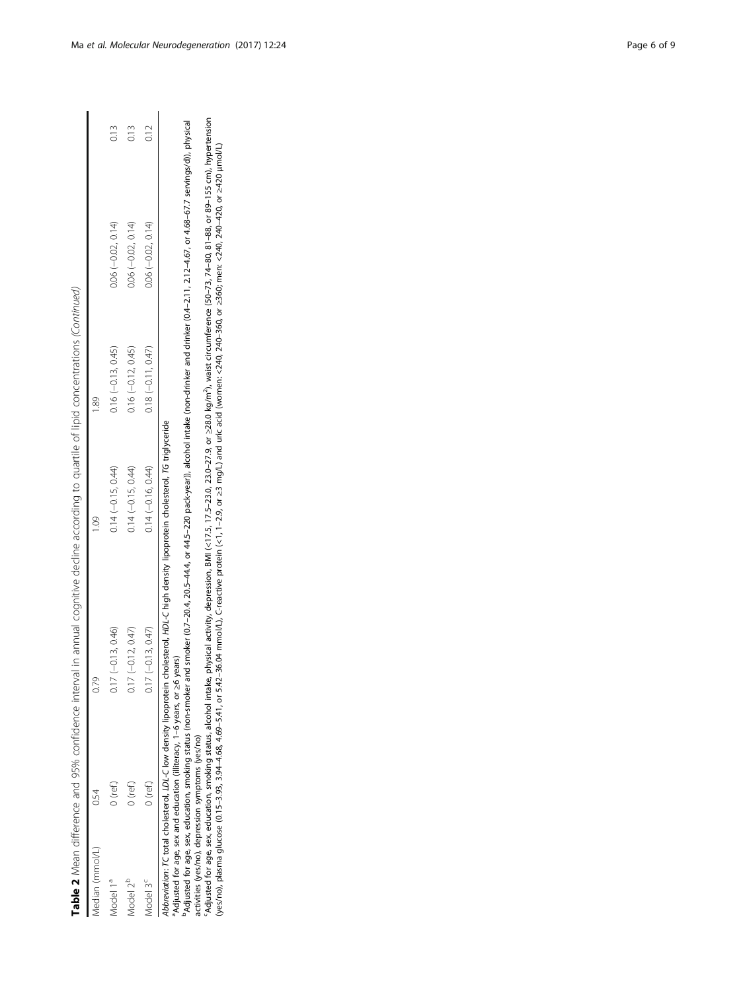Table 2 Mean difference and 95% confidence interval in annual cognitive decline according to quartile of lipid concentrations (Continued) Table 2 Mean difference and 95% confidence interval in annual cognitive decline according to quartile of lipid concentrations (Continued)

| edian (mmol/         |          | 0.79                   | 1.09                 | 89                   |                     |      |
|----------------------|----------|------------------------|----------------------|----------------------|---------------------|------|
| Aodel 1ª             | J (ref.) | $(-0.13, 0.46)$<br>QU. | $0.14 (-0.15, 0.44)$ | $0.16 (-0.13, 0.45)$ | $0.06(-0.02, 0.14)$ | 0.13 |
| Aodel 2 <sup>b</sup> | (nef)    | $(-0.12, 0.47)$        | $0.14 (-0.15, 0.44)$ | $0.16 (-0.12, 0.45)$ | $0.06(-0.02, 0.14)$ | 0.13 |
| hodel 3 <sup>c</sup> | (nef)    | $(-0.13, 0.47)$        | $0.14(-0.16, 0.44)$  | $0.18 (-0.11, 0.47)$ | $0.06(-0.02, 0.14)$ | 0.12 |

Abbreviation: TC total cholesterol, LDL-C low density lipoprotein cholesterol, HDL-C high density lipoprotein cholesterol, TG triglyceride Abbreviation: TC total cholesterol, LDL-C low density lipoprotein cholesterol, HDL-C high density lipoprotein cholesterol, TG triglyceride

Adjusted for age, sex and education (illiteracy, 1-6 years, or ≥6 years) <sup>a</sup>Adjusted for age, sex and education (illiteracy, 1–6 years, or ≥6 years)

Adjusted for age, sex, education, smoking status (non-smoker and smoker (0.7–204, 20.5–44.4, or 44.5–220 pack-year)), alcohol intake (non-drinker and drinker (0.4–2.11, 2.12–4.67, or 4.68–67.7 servings/d)), physical bAdjusted for age, sex, education, smoking status (non-smoker and smoker (0.7–20.4, 20.5–44.4, or 44.5–220 pack-year)), alcohol intake (non-drinker and drinker (0.4–2.11, 2.12–4.67, or 4.68–67.7 servings/d)), physical activities (yes/no), depression symptoms (yes/no)

activities (yes/no), depression symptoms (yes/no)<br>'Adjusted for age, sex, education, smoking status, alcohol intake, physical activity, depression, BMI (<17.5, 17.5–23.0, 23.0–27.9, or ≥28.0 kg/m<sup>3</sup>), waist circumference ( cAdjusted for age, sex, education, smoking status, alcohol intake, physical activity, depression, BMI (<17.5, 17.5–23.0, 23.0–27.9, or ≥28.0 kg/m2), waist circumference (50–73, 74–80, 81–88, or 89–155 cm), hypertension Wes/no), plasma glucose (0.15–3.93, 3.94–4.68, 4.69–5.41, or 542–3.41, or 542–3.04 mmol/L), C-reactive protein (<1, 1–2.9, or ≥3 mg/L) and uric acid (women: <240, 240–340, 240–420, or ≥40–420, or ≥420, and {/L], creactiv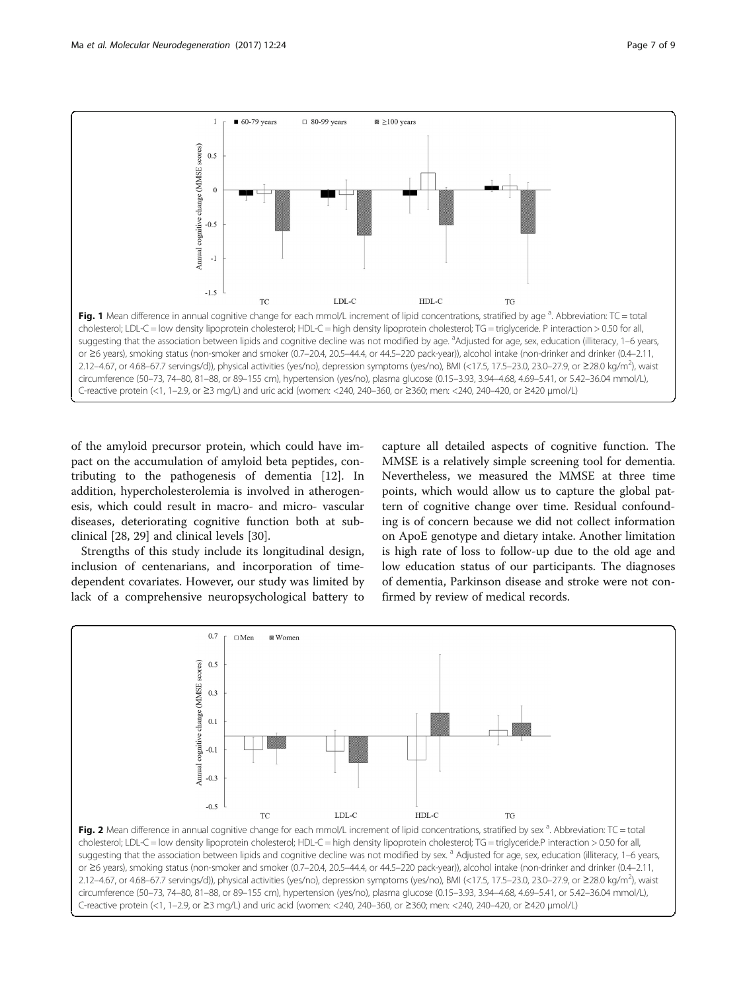<span id="page-6-0"></span>

of the amyloid precursor protein, which could have impact on the accumulation of amyloid beta peptides, contributing to the pathogenesis of dementia [\[12](#page-7-0)]. In addition, hypercholesterolemia is involved in atherogenesis, which could result in macro- and micro- vascular diseases, deteriorating cognitive function both at subclinical [[28](#page-8-0), [29](#page-8-0)] and clinical levels [[30](#page-8-0)].

Strengths of this study include its longitudinal design, inclusion of centenarians, and incorporation of timedependent covariates. However, our study was limited by lack of a comprehensive neuropsychological battery to

capture all detailed aspects of cognitive function. The MMSE is a relatively simple screening tool for dementia. Nevertheless, we measured the MMSE at three time points, which would allow us to capture the global pattern of cognitive change over time. Residual confounding is of concern because we did not collect information on ApoE genotype and dietary intake. Another limitation is high rate of loss to follow-up due to the old age and low education status of our participants. The diagnoses of dementia, Parkinson disease and stroke were not confirmed by review of medical records.

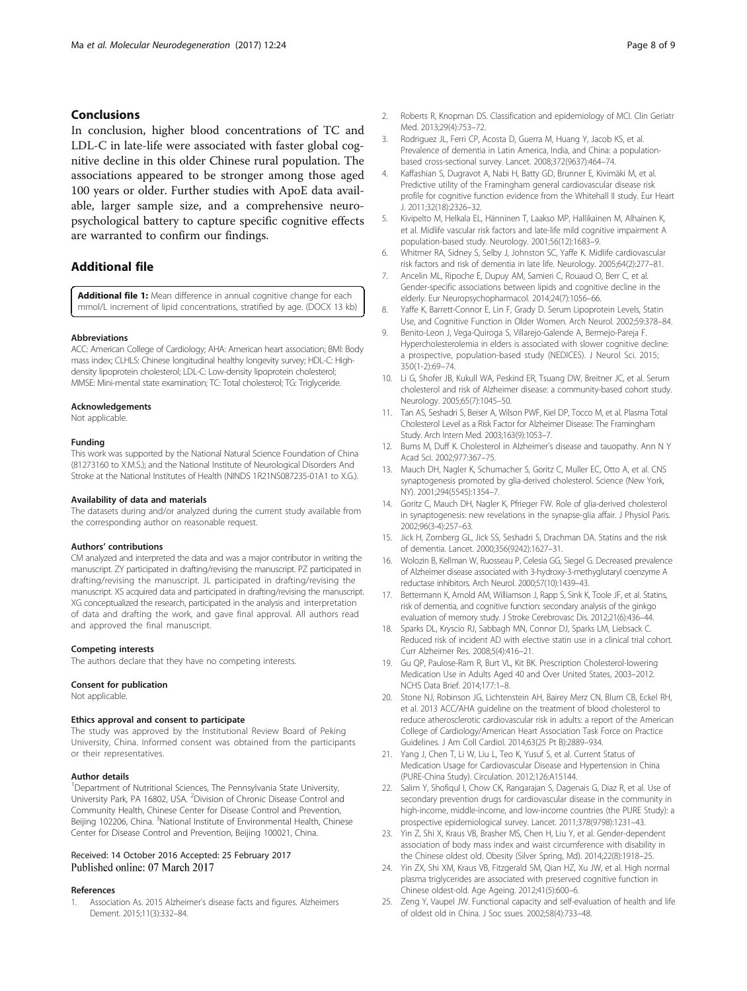# <span id="page-7-0"></span>Conclusions

In conclusion, higher blood concentrations of TC and LDL-C in late-life were associated with faster global cognitive decline in this older Chinese rural population. The associations appeared to be stronger among those aged 100 years or older. Further studies with ApoE data available, larger sample size, and a comprehensive neuropsychological battery to capture specific cognitive effects are warranted to confirm our findings.

# Additional file

[Additional file 1:](dx.doi.org/10.1186/s13024-017-0167-y) Mean difference in annual cognitive change for each mmol/L increment of lipid concentrations, stratified by age. (DOCX 13 kb)

#### Abbreviations

ACC: American College of Cardiology; AHA: American heart association; BMI: Body mass index; CLHLS: Chinese longitudinal healthy longevity survey; HDL-C: Highdensity lipoprotein cholesterol; LDL-C: Low-density lipoprotein cholesterol; MMSE: Mini-mental state examination; TC: Total cholesterol; TG: Triglyceride.

#### Acknowledgements

Not applicable.

# Funding

This work was supported by the National Natural Science Foundation of China (81273160 to X.M.S.); and the National Institute of Neurological Disorders And Stroke at the National Institutes of Health (NINDS 1R21NS087235-01A1 to X.G.).

#### Availability of data and materials

The datasets during and/or analyzed during the current study available from the corresponding author on reasonable request.

#### Authors' contributions

CM analyzed and interpreted the data and was a major contributor in writing the manuscript. ZY participated in drafting/revising the manuscript. PZ participated in drafting/revising the manuscript. JL participated in drafting/revising the manuscript. XS acquired data and participated in drafting/revising the manuscript. XG conceptualized the research, participated in the analysis and interpretation of data and drafting the work, and gave final approval. All authors read and approved the final manuscript.

#### Competing interests

The authors declare that they have no competing interests.

#### Consent for publication

Not applicable.

#### Ethics approval and consent to participate

The study was approved by the Institutional Review Board of Peking University, China. Informed consent was obtained from the participants or their representatives.

#### Author details

<sup>1</sup>Department of Nutritional Sciences, The Pennsylvania State University, University Park, PA 16802, USA. <sup>2</sup> Division of Chronic Disease Control and Community Health, Chinese Center for Disease Control and Prevention, Beijing 102206, China. <sup>3</sup>National Institute of Environmental Health, Chinese Center for Disease Control and Prevention, Beijing 100021, China.

# Received: 14 October 2016 Accepted: 25 February 2017 Published online: 07 March 2017

## References

1. Association As. 2015 Alzheimer's disease facts and figures. Alzheimers Dement. 2015;11(3):332–84.

- 2. Roberts R, Knopman DS. Classification and epidemiology of MCI. Clin Geriatr Med. 2013;29(4):753–72.
- 3. Rodriguez JL, Ferri CP, Acosta D, Guerra M, Huang Y, Jacob KS, et al. Prevalence of dementia in Latin America, India, and China: a populationbased cross-sectional survey. Lancet. 2008;372(9637):464–74.
- 4. Kaffashian S, Dugravot A, Nabi H, Batty GD, Brunner E, Kivimäki M, et al. Predictive utility of the Framingham general cardiovascular disease risk profile for cognitive function evidence from the Whitehall II study. Eur Heart J. 2011;32(18):2326–32.
- 5. Kivipelto M, Helkala EL, Hänninen T, Laakso MP, Hallikainen M, Alhainen K, et al. Midlife vascular risk factors and late-life mild cognitive impairment A population-based study. Neurology. 2001;56(12):1683–9.
- 6. Whitmer RA, Sidney S, Selby J, Johnston SC, Yaffe K. Midlife cardiovascular risk factors and risk of dementia in late life. Neurology. 2005;64(2):277–81.
- 7. Ancelin ML, Ripoche E, Dupuy AM, Samieri C, Rouaud O, Berr C, et al. Gender-specific associations between lipids and cognitive decline in the elderly. Eur Neuropsychopharmacol. 2014;24(7):1056–66.
- 8. Yaffe K, Barrett-Connor E, Lin F, Grady D. Serum Lipoprotein Levels, Statin Use, and Cognitive Function in Older Women. Arch Neurol. 2002;59:378–84.
- 9. Benito-Leon J, Vega-Quiroga S, Villarejo-Galende A, Bermejo-Pareja F. Hypercholesterolemia in elders is associated with slower cognitive decline: a prospective, population-based study (NEDICES). J Neurol Sci. 2015; 350(1-2):69–74.
- 10. Li G, Shofer JB, Kukull WA, Peskind ER, Tsuang DW, Breitner JC, et al. Serum cholesterol and risk of Alzheimer disease: a community-based cohort study. Neurology. 2005;65(7):1045–50.
- 11. Tan AS, Seshadri S, Beiser A, Wilson PWF, Kiel DP, Tocco M, et al. Plasma Total Cholesterol Level as a Risk Factor for Alzheimer Disease: The Framingham Study. Arch Intern Med. 2003;163(9):1053–7.
- 12. Bums M, Duff K. Cholesterol in Alzheimer's disease and tauopathy. Ann N Y Acad Sci. 2002;977:367–75.
- 13. Mauch DH, Nagler K, Schumacher S, Goritz C, Muller EC, Otto A, et al. CNS synaptogenesis promoted by glia-derived cholesterol. Science (New York, NY). 2001;294(5545):1354–7.
- 14. Goritz C, Mauch DH, Nagler K, Pfrieger FW. Role of glia-derived cholesterol in synaptogenesis: new revelations in the synapse-glia affair. J Physiol Paris. 2002;96(3-4):257–63.
- 15. Jick H, Zornberg GL, Jick SS, Seshadri S, Drachman DA. Statins and the risk of dementia. Lancet. 2000;356(9242):1627–31.
- 16. Wolozin B, Kellman W, Ruosseau P, Celesia GG, Siegel G. Decreased prevalence of Alzheimer disease associated with 3-hydroxy-3-methyglutaryl coenzyme A reductase inhibitors. Arch Neurol. 2000;57(10):1439–43.
- 17. Bettermann K, Arnold AM, Williamson J, Rapp S, Sink K, Toole JF, et al. Statins, risk of dementia, and cognitive function: secondary analysis of the ginkgo evaluation of memory study. J Stroke Cerebrovasc Dis. 2012;21(6):436–44.
- 18. Sparks DL, Kryscio RJ, Sabbagh MN, Connor DJ, Sparks LM, Liebsack C. Reduced risk of incident AD with elective statin use in a clinical trial cohort. Curr Alzheimer Res. 2008;5(4):416–21.
- 19. Gu QP, Paulose-Ram R, Burt VL, Kit BK. Prescription Cholesterol-lowering Medication Use in Adults Aged 40 and Over United States, 2003–2012. NCHS Data Brief. 2014;177:1–8.
- 20. Stone NJ, Robinson JG, Lichtenstein AH, Bairey Merz CN, Blum CB, Eckel RH, et al. 2013 ACC/AHA guideline on the treatment of blood cholesterol to reduce atherosclerotic cardiovascular risk in adults: a report of the American College of Cardiology/American Heart Association Task Force on Practice Guidelines. J Am Coll Cardiol. 2014;63(25 Pt B):2889–934.
- 21. Yang J, Chen T, Li W, Liu L, Teo K, Yusuf S, et al. Current Status of Medication Usage for Cardiovascular Disease and Hypertension in China (PURE-China Study). Circulation. 2012;126:A15144.
- 22. Salim Y, Shofiqul I, Chow CK, Rangarajan S, Dagenais G, Diaz R, et al. Use of secondary prevention drugs for cardiovascular disease in the community in high-income, middle-income, and low-income countries (the PURE Study): a prospective epidemiological survey. Lancet. 2011;378(9798):1231–43.
- 23. Yin Z, Shi X, Kraus VB, Brasher MS, Chen H, Liu Y, et al. Gender-dependent association of body mass index and waist circumference with disability in the Chinese oldest old. Obesity (Silver Spring, Md). 2014;22(8):1918–25.
- 24. Yin ZX, Shi XM, Kraus VB, Fitzgerald SM, Qian HZ, Xu JW, et al. High normal plasma triglycerides are associated with preserved cognitive function in Chinese oldest-old. Age Ageing. 2012;41(5):600–6.
- 25. Zeng Y, Vaupel JW. Functional capacity and self-evaluation of health and life of oldest old in China. J Soc ssues. 2002;58(4):733–48.